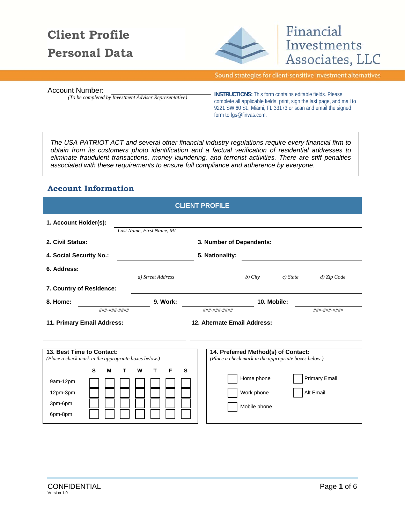# **Client Profile Personal Data**



# Financial Investments Associates, LLC

Sound strategies for client-sensitive investment alternatives

*(To be completed by Investment Adviser Representative)*

Account Number:<br>**INSTRUCTIONS:** This form contains editable fields. Please complete all applicable fields, print, sign the last page, and mail to 9221 SW 60 St., Miami, FL 33173 or scan and email the signed form to fgs@finvas.com.

*The USA PATRIOT ACT and several other financial industry regulations require every financial firm to obtain from its customers photo identification and a factual verification of residential addresses to eliminate fraudulent transactions, money laundering, and terrorist activities. There are stiff penalties associated with these requirements to ensure full compliance and adherence by everyone.* 

#### **Account Information**

|                                            |                                                                                             |                           | <b>CLIENT PROFILE</b>                                                                                                                   |            |                                   |
|--------------------------------------------|---------------------------------------------------------------------------------------------|---------------------------|-----------------------------------------------------------------------------------------------------------------------------------------|------------|-----------------------------------|
| 1. Account Holder(s):                      |                                                                                             | Last Name, First Name, MI |                                                                                                                                         |            |                                   |
| 2. Civil Status:                           |                                                                                             |                           | 3. Number of Dependents:                                                                                                                |            |                                   |
| 4. Social Security No.:                    |                                                                                             |                           | 5. Nationality:                                                                                                                         |            |                                   |
| 6. Address:                                |                                                                                             |                           |                                                                                                                                         |            |                                   |
|                                            |                                                                                             | a) Street Address         | $b)$ City                                                                                                                               | $c)$ State | d) Zip Code                       |
|                                            | 7. Country of Residence:                                                                    |                           |                                                                                                                                         |            |                                   |
| 8. Home:                                   |                                                                                             | 9. Work:                  | 10. Mobile:                                                                                                                             |            |                                   |
|                                            | ###-###-####                                                                                |                           | ###-###-####                                                                                                                            |            | ###-###-####                      |
|                                            | 11. Primary Email Address:                                                                  |                           | 12. Alternate Email Address:                                                                                                            |            |                                   |
| 9am-12pm<br>12pm-3pm<br>3pm-6pm<br>6pm-8pm | 13. Best Time to Contact:<br>(Place a check mark in the appropriate boxes below.)<br>S<br>M | W<br>S<br>т<br>F          | 14. Preferred Method(s) of Contact:<br>(Place a check mark in the appropriate boxes below.)<br>Home phone<br>Work phone<br>Mobile phone |            | <b>Primary Email</b><br>Alt Email |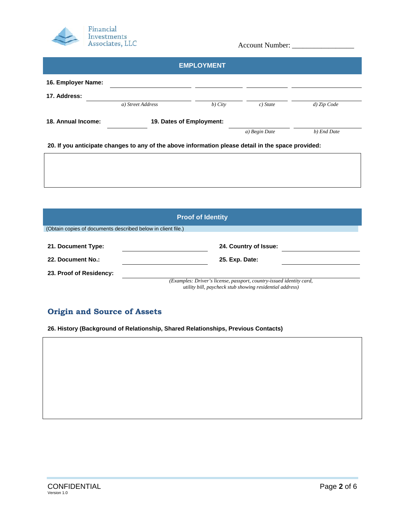

|                    |                                                                                                    | <b>EMPLOYMENT</b>        |               |             |
|--------------------|----------------------------------------------------------------------------------------------------|--------------------------|---------------|-------------|
|                    |                                                                                                    |                          |               |             |
| 16. Employer Name: |                                                                                                    |                          |               |             |
| 17. Address:       |                                                                                                    |                          |               |             |
|                    | a) Street Address                                                                                  | $b)$ City                | $c)$ State    | d) Zip Code |
| 18. Annual Income: |                                                                                                    | 19. Dates of Employment: |               |             |
|                    |                                                                                                    |                          | a) Begin Date | b) End Date |
|                    | 20. If you anticipate changes to any of the above information please detail in the space provided: |                          |               |             |
|                    |                                                                                                    |                          |               |             |
|                    |                                                                                                    |                          |               |             |
|                    |                                                                                                    |                          |               |             |
|                    |                                                                                                    |                          |               |             |

|                                                              | <b>Proof of Identity</b>                                                                                                         |
|--------------------------------------------------------------|----------------------------------------------------------------------------------------------------------------------------------|
| (Obtain copies of documents described below in client file.) |                                                                                                                                  |
| 21. Document Type:<br>22. Document No.:                      | 24. Country of Issue:<br>25. Exp. Date:                                                                                          |
| 23. Proof of Residency:                                      |                                                                                                                                  |
|                                                              | (Examples: Driver's license, passport, country-issued identity card,<br>utility bill, paycheck stub showing residential address) |

## **Origin and Source of Assets**

**26. History (Background of Relationship, Shared Relationships, Previous Contacts)**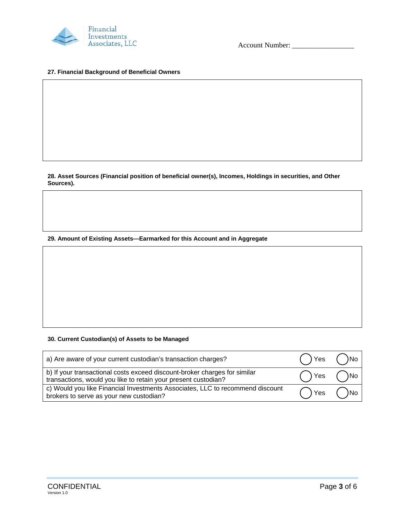

#### **27. Financial Background of Beneficial Owners**

**28. Asset Sources (Financial position of beneficial owner(s), Incomes, Holdings in securities, and Other Sources).** 

**29. Amount of Existing Assets—Earmarked for this Account and in Aggregate** 

#### **30. Current Custodian(s) of Assets to be Managed**

| a) Are aware of your current custodian's transaction charges?                                                                               | () Yes () No |              |
|---------------------------------------------------------------------------------------------------------------------------------------------|--------------|--------------|
| b) If your transactional costs exceed discount-broker charges for similar<br>transactions, would you like to retain your present custodian? | Yes ()No     |              |
| c) Would you like Financial Investments Associates, LLC to recommend discount<br>brokers to serve as your new custodian?                    |              | ) Yes ( ) No |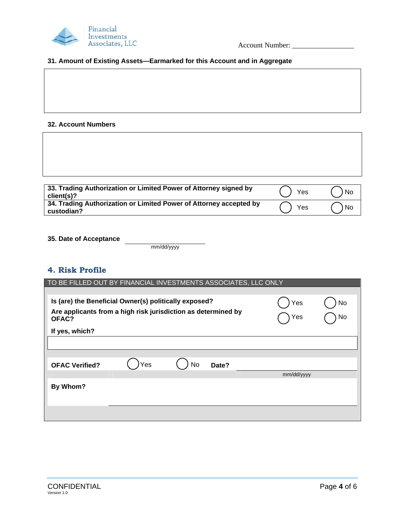

#### **31. Amount of Existing Assets—Earmarked for this Account and in Aggregate**

#### **32. Account Numbers**

| 33. Trading Authorization or Limited Power of Attorney signed by<br>client(s)?   | Yes | l No |
|----------------------------------------------------------------------------------|-----|------|
| 34. Trading Authorization or Limited Power of Attorney accepted by<br>custodian? | Yes | No   |

**35. Date of Acceptance** 

mm/dd/yyyy

#### **4. Risk Profile**

| TO BE FILLED OUT BY FINANCIAL INVESTMENTS ASSOCIATES, LLC ONLY         |     |    |       |            |    |
|------------------------------------------------------------------------|-----|----|-------|------------|----|
|                                                                        |     |    |       |            |    |
| Is (are) the Beneficial Owner(s) politically exposed?                  |     |    |       | Yes        | No |
| Are applicants from a high risk jurisdiction as determined by<br>OFAC? |     |    |       | Yes        | No |
| If yes, which?                                                         |     |    |       |            |    |
|                                                                        |     |    |       |            |    |
|                                                                        |     |    |       |            |    |
| <b>OFAC Verified?</b>                                                  | Yes | No | Date? |            |    |
|                                                                        |     |    |       | mm/dd/yyyy |    |
| By Whom?                                                               |     |    |       |            |    |
|                                                                        |     |    |       |            |    |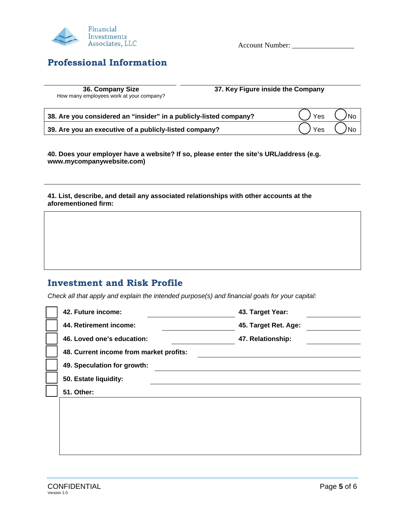

# **Professional Information**

Account Number: \_\_\_\_\_\_\_\_\_\_\_\_\_\_\_\_\_

|                                        | 36. Company Size |  |  |
|----------------------------------------|------------------|--|--|
| low many emplovees work at vour compai |                  |  |  |

**37. Key Figure inside the Company 37. Key Figure inside the Company** 

How many employees work at you

| 38. Are you considered an "insider" in a publicly-listed company? | $()$ Yes $()$ No |  |
|-------------------------------------------------------------------|------------------|--|
| 39. Are you an executive of a publicly-listed company?            | $()$ Yes $()$ No |  |

**40. Does your employer have a website? If so, please enter the site's URL/address (e.g. www.mycompanywebsite.com)** 

**41. List, describe, and detail any associated relationships with other accounts at the aforementioned firm:** 

# **Investment and Risk Profile**

*Check all that apply and explain the intended purpose(s) and financial goals for your capital:* 

| 42. Future income:                      | 43. Target Year:     |
|-----------------------------------------|----------------------|
| 44. Retirement income:                  | 45. Target Ret. Age: |
| 46. Loved one's education:              | 47. Relationship:    |
| 48. Current income from market profits: |                      |
| 49. Speculation for growth:             |                      |
| 50. Estate liquidity:                   |                      |
| 51. Other:                              |                      |
|                                         |                      |
|                                         |                      |